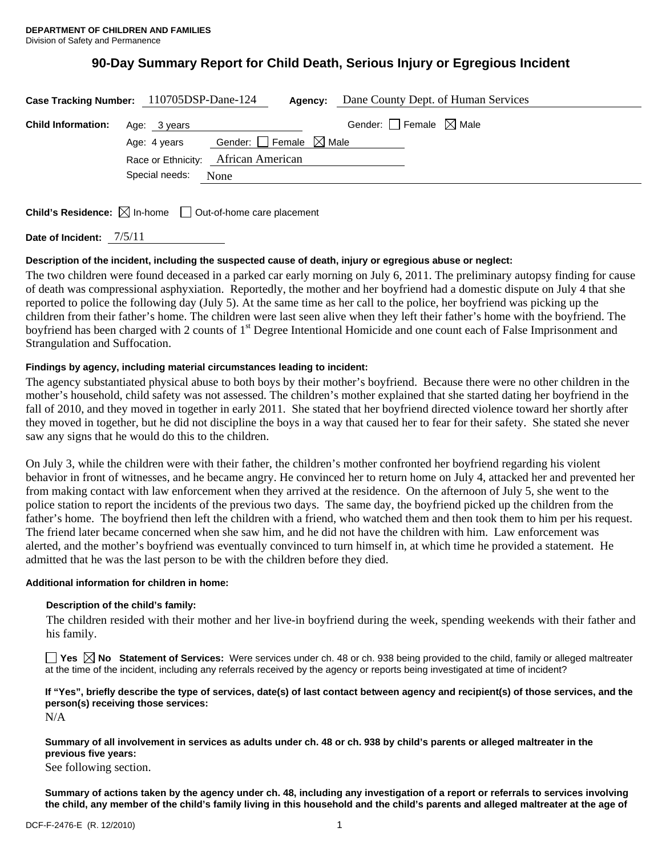# **90-Day Summary Report for Child Death, Serious Injury or Egregious Incident**

| Case Tracking Number: 110705DSP-Dane-124 |                                     |                                        | Agency: | Dane County Dept. of Human Services    |
|------------------------------------------|-------------------------------------|----------------------------------------|---------|----------------------------------------|
| <b>Child Information:</b>                | Age: 3 years                        |                                        |         | Gender: $\Box$ Female $\boxtimes$ Male |
|                                          | Age: 4 years                        | Gender: $\Box$ Female $\boxtimes$ Male |         |                                        |
|                                          | Race or Ethnicity: African American |                                        |         |                                        |
|                                          | Special needs:                      | None                                   |         |                                        |
|                                          |                                     |                                        |         |                                        |

**Child's Residence:**  $\boxtimes$  In-home  $\Box$  Out-of-home care placement

**Date of Incident:** 7/5/11

## **Description of the incident, including the suspected cause of death, injury or egregious abuse or neglect:**

The two children were found deceased in a parked car early morning on July 6, 2011. The preliminary autopsy finding for cause of death was compressional asphyxiation. Reportedly, the mother and her boyfriend had a domestic dispute on July 4 that she reported to police the following day (July 5). At the same time as her call to the police, her boyfriend was picking up the children from their father's home. The children were last seen alive when they left their father's home with the boyfriend. The boyfriend has been charged with 2 counts of 1<sup>st</sup> Degree Intentional Homicide and one count each of False Imprisonment and Strangulation and Suffocation.

## **Findings by agency, including material circumstances leading to incident:**

The agency substantiated physical abuse to both boys by their mother's boyfriend. Because there were no other children in the mother's household, child safety was not assessed. The children's mother explained that she started dating her boyfriend in the fall of 2010, and they moved in together in early 2011. She stated that her boyfriend directed violence toward her shortly after they moved in together, but he did not discipline the boys in a way that caused her to fear for their safety. She stated she never saw any signs that he would do this to the children.

On July 3, while the children were with their father, the children's mother confronted her boyfriend regarding his violent behavior in front of witnesses, and he became angry. He convinced her to return home on July 4, attacked her and prevented her from making contact with law enforcement when they arrived at the residence. On the afternoon of July 5, she went to the police station to report the incidents of the previous two days. The same day, the boyfriend picked up the children from the father's home. The boyfriend then left the children with a friend, who watched them and then took them to him per his request. The friend later became concerned when she saw him, and he did not have the children with him. Law enforcement was alerted, and the mother's boyfriend was eventually convinced to turn himself in, at which time he provided a statement. He admitted that he was the last person to be with the children before they died.

## **Additional information for children in home:**

## **Description of the child's family:**

The children resided with their mother and her live-in boyfriend during the week, spending weekends with their father and his family.

**Yes No Statement of Services:** Were services under ch. 48 or ch. 938 being provided to the child, family or alleged maltreater at the time of the incident, including any referrals received by the agency or reports being investigated at time of incident?

## **If "Yes", briefly describe the type of services, date(s) of last contact between agency and recipient(s) of those services, and the person(s) receiving those services:**

N/A

**Summary of all involvement in services as adults under ch. 48 or ch. 938 by child's parents or alleged maltreater in the previous five years:** 

See following section.

**Summary of actions taken by the agency under ch. 48, including any investigation of a report or referrals to services involving the child, any member of the child's family living in this household and the child's parents and alleged maltreater at the age of**